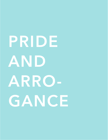# **PRIDE AND ARRO-GANCE**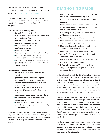## WHEN PRIDE COMES, THEN COMES DISGRACE, BUT WITH HUMILITY COMES WISDOM. *PROVERBS 11:2 (NIV)*

Pride and arrogance are defined as *"overly high opinion of oneself; self-absorbed; exaggerated self-esteem; conceit; giving oneself an undue degree of importance; haughty."*

### *When we live out of unbelief, we:*

- *live only for our own benefit;*
- *see ourselves as more important than others;*
- *think and act selfishly;*
- *create strife, division and chaos;*
- *gossip and tear down others;*
- *are arrogant and rebellious;*
- *are jealous of others;*
- *take offense easily;*
- *become angry when our "rights" are violated;*
- *view ourselves above others; we will not "lower" ourselves to serve others;*
- *display a "my way or the highway" attitude;*
- *find it difficult to bend or be flexible (this is often rebellion).*

#### *Evidence of pride and arrogance:*

- *unable to see myself for who and what I really am;*
- *put my trust and confidence in myself (my capacities, my position, my deeds, my thinking and my experiences) rather than in God;*
- *cannot see others as God sees them;*
- *exalt myself instead of letting God "raise me up;"*
- *promote gossip and slander toward others;*
- *numerous obstacles to life change and improvement;*
- *stimulate strife, division and chaos;*
- *discontent; seeking pre-eminence for myself; insubordination;*

Pride and arrogance are the foundations of Satan's kingdom. Little wonder, then, that pride and arrogance keep us from experiencing God's blessings and seeking His best. In fact, they can cause us actually to work against God!

# **DIAGNOSING PRIDE**

- OI find it easy to see the shortcomings and sins of others, but I often cannot see my own;
- OI am critical of the positions, blessings, and gifts of others;
- OI want others to know how wonderful I am, and I drop frequent hints - some subtle, some not so subtle - in praise of myself;
- OI am willing to gossip and tear down others so I will look better than them;
- OI am unwilling to "give in " for the sake of others;
- OI find it easy to follow my own advice, my own direction, and my own wisdom;
- OI find it hard to receive and accept "godly advice, wisdom and correction" from others;
- OI see myself as my own "leader and authority;"
- OI am self-sufficient; I do not need others and sometimes I don't need God;
- OI tend to get involved in arguments and conflicts;
- OI consider myself "independent;"
- OI often refer to my own "Christian" activities, "religious background", or "spiritual life" as a benchmark for others.

2 Chronicles 26 tells of the life of Uzziah, who became king of Judah at the age of sixteen and ruled for fifty-two years. He sat under the spiritual mentoring of the prophet Jeremiah, and followed Jeremiah's counsel. King Uzziah led Judah to many great conquests, strengthened the walls of Jerusalem, built cisterns, and caused the land to prosper. "As long as he sought the Lord, God gave him success." (2 Chronicles 26:3)

The connection seems very clear. Uzziah relied on the Lord for direction, help and strength. He humbled himself - king or no king. God is not impressed with titles that we humans bestow on each other. God was then - and still is - more concerned about our ability to understand that we can do NOTHING without Him. Our foolish plans, our weak strength, and our inability to see the future continually point to our need to depend on the Lord.

As Uzziah's story continues, his army became "a mean, lean fightin' machine" with all the latest technology; the surrounding armies feared them. "His fame spread far and wide, for he was greatly helped until he became powerful." (2 Chronicles 26:15)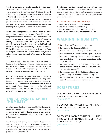Check out the turning point for Uzziah: "But after Uzziah became powerful, his PRIDE led to his downfall, and he was unfaithful to the Lord his God." (2 Chronicles 26:16) In his pride, Uzziah placed himself above God's established authorities (the priests). He went into the temple and presented his own offerings before God - something only the priests were allowed to do. Pride convinced him that he was above everyone else and answered to no one; he was the king, after all, and could do whatever he wanted.

Notice God's strong response to Uzziah's pride and arrogance. Eighty courageous priests confronted him in the temple as he offered incense to the Lord. His reaction? "He flew into a rage and while raging the Lord struck him with leprosy." (2 Chronicles 26:19) The chapter closes with Uzziah clinging to pride right up to his sad and difficult end of his life. "King Uzziah had leprosy until the day he died. He lived in a separate house, leprous and excluded from the temple of the Lord. Jotham his son had charge of the palace and governed the people of the land." (2 Chronicles 26:21)

What did Uzziah's pride and arrogance do for him? It brought God's judgment, separation from the house of God, separation from those he loved, and greatly reduced the scope and length of his reign as king. In a sense, Uzziah became a prisoner of his own pride and arrogance.

Compare Uzziah's life, eventually destroyed by pride, with the life of Moses, who scripture describes as "very humble, more than any man who was on the face of the earth" (Numbers 12:3). Moses always came to the Lord on behalf of the people of Israel, but could see himself for who and what he was in God's eyes, always willing to confess his own sinfulness and his need for God.

## **THE OPPOSITE SPIRIT - "HUMILITY"**

All of us would like God to pour out His blessing and favor on us - wouldn't we? Consider that "God sets Himself up against the proud, but He shows favor to the humble." (James 4:6, New Living Bible) What does this verse mean? Let's check it out.

Resist means "withstand; oppose; fend off; stand firm against, withstand the action of, oppose actively; work against." Imagine God resisting those of us who continue in a spirit of pride and arrogance. No wonder our lives lack power and the favor of God!

Now look at what God does for the humble of heart and mind. Webster defines favor as "approve, support, endorse; regard or treat with special advantages, special privileges, preferred treatment." Wow!! Who doesn't want to receive that from the Lord?

## **GERRY FRY DEFINES HUMILITY AS:**

*a. willingness to be known for who we really are; b. total dependence on God's sufficiency; c. complete submission to the Lordship of Christ; d. absolute obedience to the Word and truth of God;*

## **WALKING IN HUMILITY**

- OI will view myself as a servant to everyone;
- OI will grow in the character of Christ;
- OI will look for the opportunity to see others "lifted up;"
- OI will see myself in accord with the ways God sees me;
- OI will acknowledge my shortcomings and sins in the presence of others so I can be encouraged in my walk with the Lord;
- OI will acknowledge that all that I am, all that I have, and all that I do come to me from the Lord, and I can take no claim for myself;
- OI will pray consistently for God to reveal to me any pride or arrogance that may be hidden in my life;
- OI will understand that my only hope is in complete dependence on God and obedience to Him.

# **SCRIPTURES**

YOU RESCUE THOSE WHO ARE HUMBLE. BUT YOU HUMILIATE THE PROUD. *\_PSALM 18:27*

HE GUIDES THE HUMBLE IN WHAT IS RIGHT AND TEACHES THEM HIS WAY. *\_PSALM 25:9*

TO FEAR THE LORD IS TO HATE EVIL; I HATE PRIDE AND ARROGANCE, EVIL BEHAVIOR AND PERVERSE SPEECH.

*\_PROVERBS 8:13*